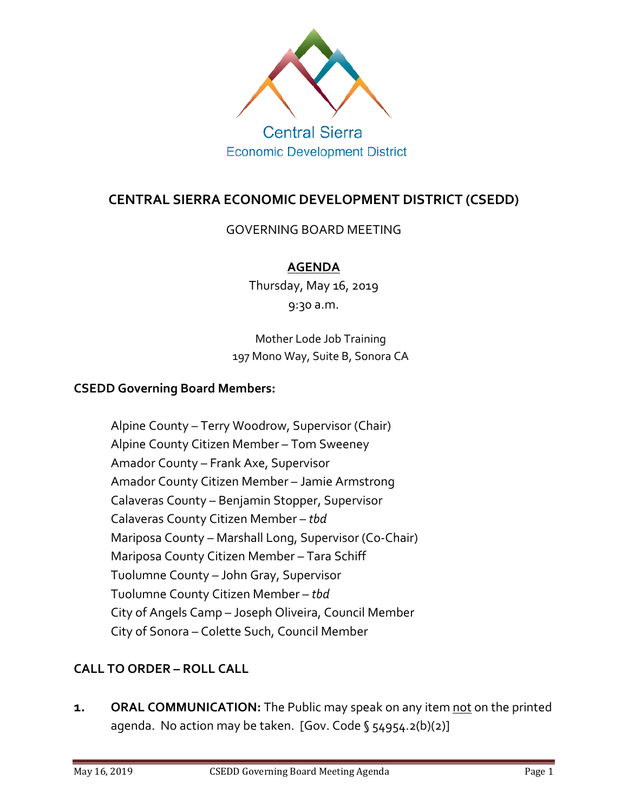

**Economic Development District** 

# **CENTRAL SIERRA ECONOMIC DEVELOPMENT DISTRICT (CSEDD)**

GOVERNING BOARD MEETING

## **AGENDA**

Thursday, May 16, 2019 9:30 a.m.

Mother Lode Job Training 197 Mono Way, Suite B, Sonora CA

#### **CSEDD Governing Board Members:**

Alpine County – Terry Woodrow, Supervisor (Chair) Alpine County Citizen Member – Tom Sweeney Amador County – Frank Axe, Supervisor Amador County Citizen Member – Jamie Armstrong Calaveras County – Benjamin Stopper, Supervisor Calaveras County Citizen Member – *tbd* Mariposa County – Marshall Long, Supervisor (Co-Chair) Mariposa County Citizen Member – Tara Schiff Tuolumne County – John Gray, Supervisor Tuolumne County Citizen Member – *tbd* City of Angels Camp – Joseph Oliveira, Council Member City of Sonora – Colette Such, Council Member

# **CALL TO ORDER – ROLL CALL**

**1. ORAL COMMUNICATION:** The Public may speak on any item not on the printed agenda. No action may be taken. [Gov. Code § 54954.2(b)(2)]